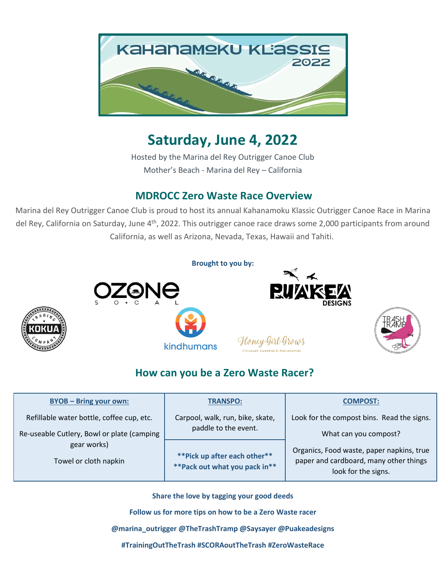

### **Saturday, June 4, 2022**

Hosted by the Marina del Rey Outrigger Canoe Club Mother's Beach - Marina del Rey – California

### **MDROCC Zero Waste Race Overview**

Marina del Rey Outrigger Canoe Club is proud to host its annual Kahanamoku Klassic Outrigger Canoe Race in Marina del Rey, California on Saturday, June 4<sup>th</sup>, 2022. This outrigger canoe race draws some 2,000 participants from around California, as well as Arizona, Nevada, Texas, Hawaii and Tahiti.



### **How can you be a Zero Waste Racer?**

| <b>BYOB - Bring your own:</b>                                                      | <b>TRANSPO:</b>                                                 | <b>COMPOST:</b>                                                                                            |
|------------------------------------------------------------------------------------|-----------------------------------------------------------------|------------------------------------------------------------------------------------------------------------|
| Refillable water bottle, coffee cup, etc.                                          | Carpool, walk, run, bike, skate,<br>paddle to the event.        | Look for the compost bins. Read the signs.                                                                 |
| Re-useable Cutlery, Bowl or plate (camping<br>gear works)<br>Towel or cloth napkin |                                                                 | What can you compost?                                                                                      |
|                                                                                    | ** Pick up after each other**<br>** Pack out what you pack in** | Organics, Food waste, paper napkins, true<br>paper and cardboard, many other things<br>look for the signs. |

**Share the love by tagging your good deeds**

**Follow us for more tips on how to be a Zero Waste racer**

**@marina\_outrigger @TheTrashTramp @Saysayer @Puakeadesigns**

**#TrainingOutTheTrash #SCORAoutTheTrash #ZeroWasteRace**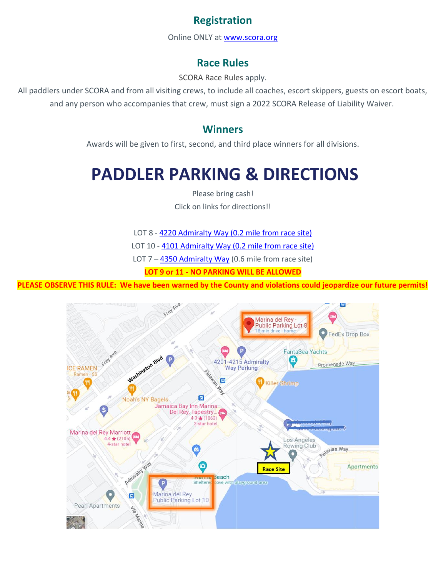### **Registration**

Online ONLY at [www.scora.org](http://www.scora.org/)

### **Race Rules**

[SCORA](http://www.socaloutrigger.org/race-rules/) Race Rules apply.

All paddlers under SCORA and from all visiting crews, to include all coaches, escort skippers, guests on escort boats, and any person who accompanies that crew, must sign a 2022 SCORA Release of Liability Waiver.

#### **Winners**

Awards will be given to first, second, and third place winners for all divisions.

# **PADDLER PARKING & DIRECTIONS**

Please bring cash!

Click on links for directions!!

LOT 8 - 4220 [Admiralty](https://goo.gl/maps/gMMGPDaGe8L2) Way (0.2 mile [from](https://goo.gl/maps/gMMGPDaGe8L2) race site)

LOT 10 - 4101 [Admiralty](https://goo.gl/maps/azYQnGYCtzu) Way [\(0.2](https://goo.gl/maps/gMMGPDaGe8L2) mile [from](https://goo.gl/maps/gMMGPDaGe8L2) race site)

LOT  $7 - 4350$  [Admiralty](https://goo.gl/maps/hdJ6wqEu4wC2) Way (0.6 mile from race site)

**LOT 9 or 11 - NO PARKING WILL BE ALLOWED**

**PLEASE OBSERVE THIS RULE: We have been warned by the County and violations could jeopardize our future permits!**

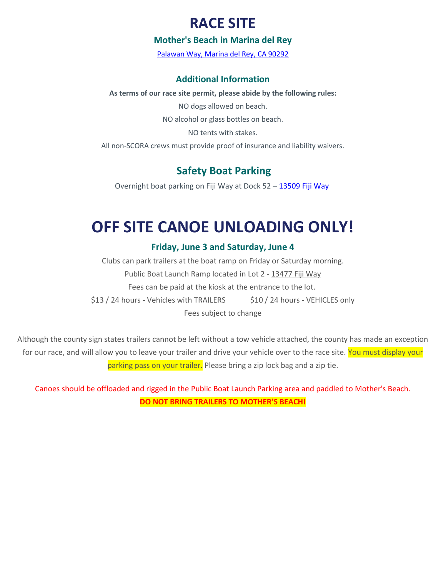### **RACE SITE**

#### **Mother's Beach in Marina del Rey**

Palawan [Way, Marina del Rey, CA 90292](https://www.google.com/maps/place/Marina+del+Rey+Outrigger+Canoe+Club/@33.9818,-118.456466,15z/data=!4m5!3m4!1s0x0:0x207f3b531be5c41a!8m2!3d33.9818!4d-118.456466)

#### **Additional Information**

#### **As terms of our race site permit, please abide by the following rules:**

NO dogs allowed on beach.

NO alcohol or glass bottles on beach.

NO tents with stakes.

All non-SCORA crews must provide proof of insurance and liability waivers.

### **Safety Boat Parking**

Overnight boat parking on Fiji Way at Dock 52 – [13509](https://goo.gl/maps/Lb28LXw23622) Fiji Way

# **OFF SITE CANOE UNLOADING ONLY!**

#### **Friday, June 3 and Saturday, June 4**

Clubs can park trailers at the boat ramp on Friday or Saturday morning. Public Boat Launch Ramp located in Lot 2 - [13477](https://goo.gl/maps/itJy2XF6stq) Fiji Way Fees can be paid at the kiosk at the entrance to the lot. \$13 / 24 hours - Vehicles with TRAILERS \$10 / 24 hours - VEHICLES only Fees subject to change

Although the county sign states trailers cannot be left without a tow vehicle attached, the county has made an exception for our race, and will allow you to leave your trailer and drive your vehicle over to the race site. You must display your parking pass on your trailer. Please bring a zip lock bag and a zip tie.

Canoes should be offloaded and rigged in the Public Boat Launch Parking area and paddled to Mother's Beach. **DO NOT BRING TRAILERS TO MOTHER'S BEACH!**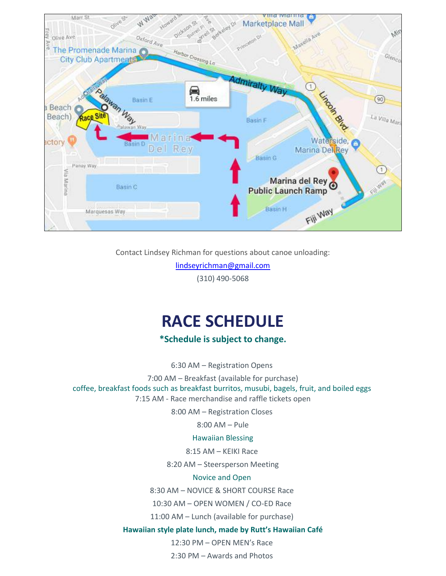

Contact Lindsey Richman for questions about canoe unloading:

[lindseyrichman@gmail.com](mailto:lindseyrichman@gmail.com)

(310) 490-5068

# **RACE SCHEDULE**

**\*Schedule is subject to change.**

6:30 AM – Registration Opens

7:00 AM – Breakfast (available for purchase)

coffee, breakfast foods such as breakfast burritos, musubi, bagels, fruit, and boiled eggs 7:15 AM - Race merchandise and raffle tickets open

8:00 AM – Registration Closes

8:00 AM – Pule

#### Hawaiian Blessing

8:15 AM – KEIKI Race

8:20 AM – Steersperson Meeting

#### Novice and Open

8:30 AM – NOVICE & SHORT COURSE Race

10:30 AM – OPEN WOMEN / CO-ED Race

11:00 AM – Lunch (available for purchase)

#### **Hawaiian style plate lunch, made by Rutt's Hawaiian Café**

12:30 PM – OPEN MEN's Race

2:30 PM – Awards and Photos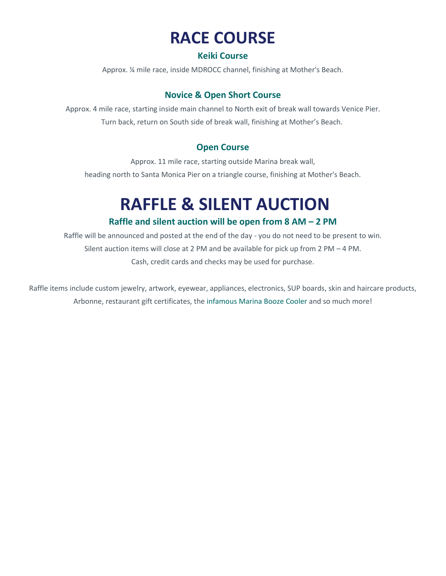# **RACE COURSE**

#### **Keiki Course**

Approx. ¼ mile race, inside MDROCC channel, finishing at Mother's Beach.

#### **Novice & Open Short Course**

Approx. 4 mile race, starting inside main channel to North exit of break wall towards Venice Pier. Turn back, return on South side of break wall, finishing at Mother's Beach.

#### **Open Course**

Approx. 11 mile race, starting outside Marina break wall, heading north to Santa Monica Pier on a triangle course, finishing at Mother's Beach.

# **RAFFLE & SILENT AUCTION**

#### **Raffle and silent auction will be open from 8 AM – 2 PM**

Raffle will be announced and posted at the end of the day - you do not need to be present to win. Silent auction items will close at 2 PM and be available for pick up from 2 PM – 4 PM. Cash, credit cards and checks may be used for purchase.

Raffle items include custom jewelry, artwork, eyewear, appliances, electronics, SUP boards, skin and haircare products, Arbonne, restaurant gift certificates, the infamous Marina Booze Cooler and so much more!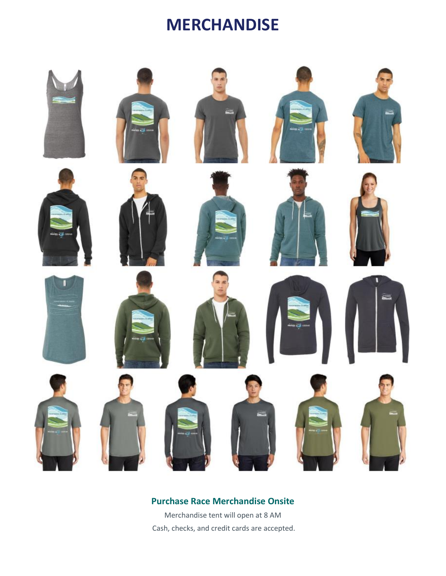### **MERCHANDISE**



### **Purchase Race Merchandise Onsite**

Merchandise tent will open at 8 AM Cash, checks, and credit cards are accepted.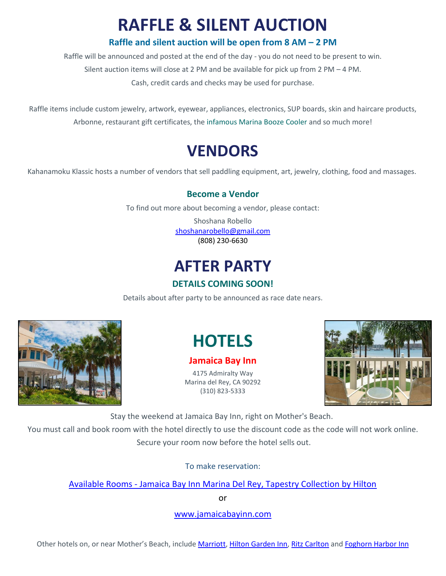# **RAFFLE & SILENT AUCTION**

#### **Raffle and silent auction will be open from 8 AM – 2 PM**

Raffle will be announced and posted at the end of the day - you do not need to be present to win. Silent auction items will close at 2 PM and be available for pick up from 2 PM – 4 PM. Cash, credit cards and checks may be used for purchase.

Raffle items include custom jewelry, artwork, eyewear, appliances, electronics, SUP boards, skin and haircare products, Arbonne, restaurant gift certificates, the infamous Marina Booze Cooler and so much more!

## **VENDORS**

Kahanamoku Klassic hosts a number of vendors that sell paddling equipment, art, jewelry, clothing, food and massages.

#### **Become a Vendor**

To find out more about becoming a vendor, please contact:

Shoshana Robello [shoshanarobello@gmail.com](mailto:shoshanarobello@gmail.com) (808) 230-6630

### **AFTER PARTY**

#### **DETAILS COMING SOON!**

Details about after party to be announced as race date nears.



# **HOTELS**

#### **Jamaica Bay Inn**

4175 Admiralty Way Marina del Rey, CA 90292 (310) 823-5333



Stay the weekend at Jamaica Bay Inn, right on Mother's Beach.

You must call and book room with the hotel directly to use the discount code as the code will not work online. Secure your room now before the hotel sells out.

To make reservation:

Available Rooms - [Jamaica Bay Inn Marina Del Rey, Tapestry Collection by Hilton](https://www.hilton.com/en/book/reservation/rooms/?ctyhocn=LAXMIUP&arrivalDate=2022-03-27&departureDate=2022-03-28&room1NumAdults=1&promo=)

or

[www.jamaicabayinn.com](http://www.jamaicabayinn.com/)

Other hotels on, or near Mother's Beach, include [Marriott,](https://www.marriott.com/hotels/travel/laxmb-marina-del-rey-marriott/) Hilton [Garden](https://hiltongardeninn3.hilton.com/en/hotels/california/hilton-garden-inn-los-angeles-marina-del-rey-LAXDRGI/index.html?SEO_id=GMB-HI-LAXDRGI) Inn, Ritz [Carlton](http://www.ritzcarlton.com/en/hotels/california/marina-del-rey) and [Foghorn](http://www.foghornhotel.com/) Harbor Inn